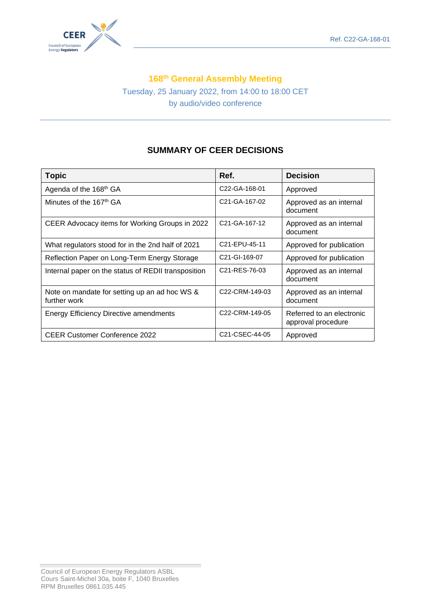

## **168 th General Assembly Meeting**

Tuesday, 25 January 2022, from 14:00 to 18:00 CET by audio/video conference

# **SUMMARY OF CEER DECISIONS**

| <b>Topic</b>                                                  | Ref.                                     | <b>Decision</b>                                 |
|---------------------------------------------------------------|------------------------------------------|-------------------------------------------------|
| Agenda of the 168 <sup>th</sup> GA                            | C <sub>22</sub> -GA-168-01               | Approved                                        |
| Minutes of the 167 <sup>th</sup> GA                           | C21-GA-167-02                            | Approved as an internal<br>document             |
| CEER Advocacy items for Working Groups in 2022                | C <sub>21</sub> -GA-167-12               | Approved as an internal<br>document             |
| What regulators stood for in the 2nd half of 2021             | C21-EPU-45-11                            | Approved for publication                        |
| Reflection Paper on Long-Term Energy Storage                  | C <sub>21</sub> -GI-169-07               | Approved for publication                        |
| Internal paper on the status of REDII transposition           | C <sub>21</sub> -RES-76-03               | Approved as an internal<br>document             |
| Note on mandate for setting up an ad hoc WS &<br>further work | C <sub>22</sub> -CRM-149-03              | Approved as an internal<br>document             |
| <b>Energy Efficiency Directive amendments</b>                 | C22-CRM-149-05                           | Referred to an electronic<br>approval procedure |
| <b>CEER Customer Conference 2022</b>                          | C <sub>21</sub> -C <sub>SE</sub> C-44-05 | Approved                                        |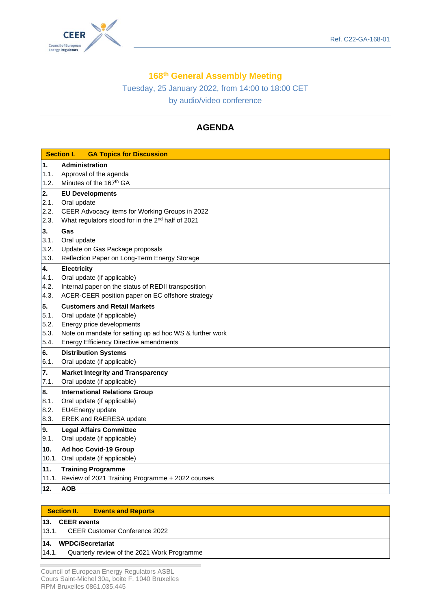



## **168 th General Assembly Meeting**

Tuesday, 25 January 2022, from 14:00 to 18:00 CET by audio/video conference

# **AGENDA**

|       | <b>Section I.</b><br><b>GA Topics for Discussion</b>          |
|-------|---------------------------------------------------------------|
| 1.    | <b>Administration</b>                                         |
| 1.1.  | Approval of the agenda                                        |
| 1.2.  | Minutes of the 167 <sup>th</sup> GA                           |
| 2.    | <b>EU Developments</b>                                        |
| 2.1.  | Oral update                                                   |
| 2.2.  | CEER Advocacy items for Working Groups in 2022                |
| 2.3.  | What regulators stood for in the 2 <sup>nd</sup> half of 2021 |
| 3.    | Gas                                                           |
| 3.1.  | Oral update                                                   |
| 3.2.  | Update on Gas Package proposals                               |
| 3.3.  | Reflection Paper on Long-Term Energy Storage                  |
| 4.    | <b>Electricity</b>                                            |
| 4.1.  | Oral update (if applicable)                                   |
| 4.2.  | Internal paper on the status of REDII transposition           |
| 4.3.  | ACER-CEER position paper on EC offshore strategy              |
| 5.    | <b>Customers and Retail Markets</b>                           |
| 5.1.  | Oral update (if applicable)                                   |
| 5.2.  | Energy price developments                                     |
| 5.3.  | Note on mandate for setting up ad hoc WS & further work       |
| 5.4.  | <b>Energy Efficiency Directive amendments</b>                 |
| 6.    | <b>Distribution Systems</b>                                   |
| 6.1.  | Oral update (if applicable)                                   |
| 7.    | <b>Market Integrity and Transparency</b>                      |
| 7.1.  | Oral update (if applicable)                                   |
| 8.    | <b>International Relations Group</b>                          |
| 8.1.  | Oral update (if applicable)                                   |
| 8.2.  | EU4Energy update                                              |
| 8.3.  | EREK and RAERESA update                                       |
| 9.    | <b>Legal Affairs Committee</b>                                |
| 9.1.  | Oral update (if applicable)                                   |
| 10.   | Ad hoc Covid-19 Group                                         |
|       | 10.1. Oral update (if applicable)                             |
| 11.   | <b>Training Programme</b>                                     |
| 11.1. | Review of 2021 Training Programme + 2022 courses              |
| 12.   | <b>AOB</b>                                                    |

|     | <b>Section II.</b> | <b>Events and Reports</b> |
|-----|--------------------|---------------------------|
| 49. | $CED$ available    |                           |

### **13. CEER events**

#### **14. WPDC/Secretariat**

14.1. Quarterly review of the 2021 Work Programme